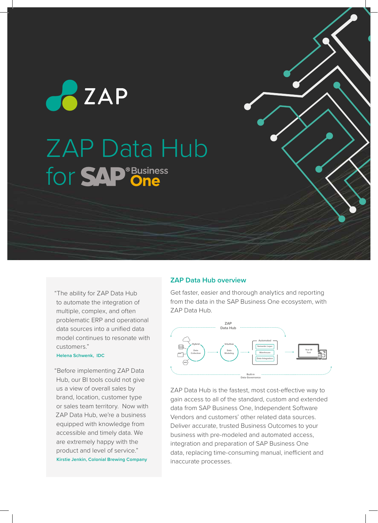**PE ZAP** 

ZAP Data Hub for **SAP**<sup>®Business</sup>

"The ability for ZAP Data Hub to automate the integration of multiple, complex, and often problematic ERP and operational data sources into a unified data model continues to resonate with customers."

# **Helena Schwenk, IDC**

"Before implementing ZAP Data Hub, our BI tools could not give us a view of overall sales by brand, location, customer type or sales team territory. Now with ZAP Data Hub, we're a business equipped with knowledge from accessible and timely data. We are extremely happy with the product and level of service." **Kirstie Jenkin, Colonial Brewing Company**

# **ZAP Data Hub overview**

Get faster, easier and thorough analytics and reporting from the data in the SAP Business One ecosystem, with ZAP Data Hub.



ZAP Data Hub is the fastest, most cost-effective way to gain access to all of the standard, custom and extended data from SAP Business One, Independent Software Vendors and customers' other related data sources. Deliver accurate, trusted Business Outcomes to your business with pre-modeled and automated access, integration and preparation of SAP Business One data, replacing time-consuming manual, inefficient and inaccurate processes.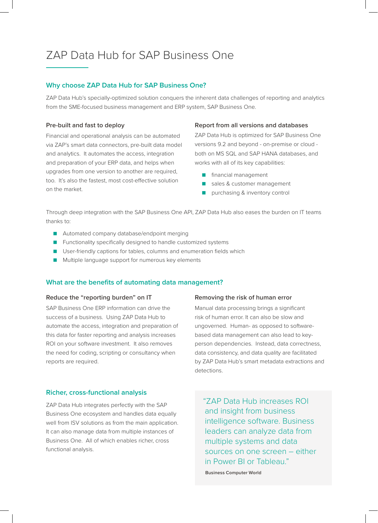# ZAP Data Hub for SAP Business One

# **Why choose ZAP Data Hub for SAP Business One?**

ZAP Data Hub's specially-optimized solution conquers the inherent data challenges of reporting and analytics from the SME-focused business management and ERP system, SAP Business One.

## **Pre-built and fast to deploy**

Financial and operational analysis can be automated via ZAP's smart data connectors, pre-built data model and analytics. It automates the access, integration and preparation of your ERP data, and helps when upgrades from one version to another are required, too. It's also the fastest, most cost-effective solution on the market.

#### **Report from all versions and databases**

ZAP Data Hub is optimized for SAP Business One versions 9.2 and beyond - on-premise or cloud both on MS SQL and SAP HANA databases, and works with all of its key capabilities:

- **financial management**
- sales & customer management
- **purchasing & inventory control**

Through deep integration with the SAP Business One API, ZAP Data Hub also eases the burden on IT teams thanks to:

- **Automated company database/endpoint merging**
- **Functionality specifically designed to handle customized systems**
- User-friendly captions for tables, columns and enumeration fields which
- **Multiple language support for numerous key elements**

# **What are the benefits of automating data management?**

## **Reduce the "reporting burden" on IT**

SAP Business One ERP information can drive the success of a business. Using ZAP Data Hub to automate the access, integration and preparation of this data for faster reporting and analysis increases ROI on your software investment. It also removes the need for coding, scripting or consultancy when reports are required.

# **Richer, cross-functional analysis**

ZAP Data Hub integrates perfectly with the SAP Business One ecosystem and handles data equally well from ISV solutions as from the main application. It can also manage data from multiple instances of Business One. All of which enables richer, cross functional analysis.

#### **Removing the risk of human error**

Manual data processing brings a significant risk of human error. It can also be slow and ungoverned. Human- as opposed to softwarebased data management can also lead to keyperson dependencies. Instead, data correctness, data consistency, and data quality are facilitated by ZAP Data Hub's smart metadata extractions and detections.

"ZAP Data Hub increases ROI and insight from business intelligence software. Business leaders can analyze data from multiple systems and data sources on one screen – either in Power BI or Tableau."

**Business Computer World**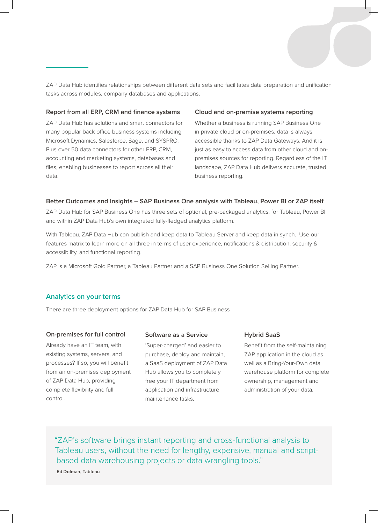ZAP Data Hub identifies relationships between different data sets and facilitates data preparation and unification tasks across modules, company databases and applications.

## **Report from all ERP, CRM and finance systems**

ZAP Data Hub has solutions and smart connectors for many popular back office business systems including Microsoft Dynamics, Salesforce, Sage, and SYSPRO. Plus over 50 data connectors for other ERP, CRM, accounting and marketing systems, databases and files, enabling businesses to report across all their data.

## **Cloud and on-premise systems reporting**

Whether a business is running SAP Business One in private cloud or on-premises, data is always accessible thanks to ZAP Data Gateways. And it is just as easy to access data from other cloud and onpremises sources for reporting. Regardless of the IT landscape, ZAP Data Hub delivers accurate, trusted business reporting.

## **Better Outcomes and Insights – SAP Business One analysis with Tableau, Power BI or ZAP itself**

ZAP Data Hub for SAP Business One has three sets of optional, pre-packaged analytics: for Tableau, Power BI and within ZAP Data Hub's own integrated fully-fledged analytics platform.

With Tableau, ZAP Data Hub can publish and keep data to Tableau Server and keep data in synch. Use our features matrix to learn more on all three in terms of user experience, notifications & distribution, security & accessibility, and functional reporting.

ZAP is a Microsoft Gold Partner, a Tableau Partner and a SAP Business One Solution Selling Partner.

## **Analytics on your terms**

There are three deployment options for ZAP Data Hub for SAP Business

## **On-premises for full control**

Already have an IT team, with existing systems, servers, and processes? If so, you will benefit from an on-premises deployment of ZAP Data Hub, providing complete flexibility and full control.

#### **Software as a Service**

'Super-charged' and easier to purchase, deploy and maintain, a SaaS deployment of ZAP Data Hub allows you to completely free your IT department from application and infrastructure maintenance tasks.

#### **Hybrid SaaS**

Benefit from the self-maintaining ZAP application in the cloud as well as a Bring-Your-Own data warehouse platform for complete ownership, management and administration of your data.

"ZAP's software brings instant reporting and cross-functional analysis to Tableau users, without the need for lengthy, expensive, manual and scriptbased data warehousing projects or data wrangling tools."

**Ed Dolman, Tableau**